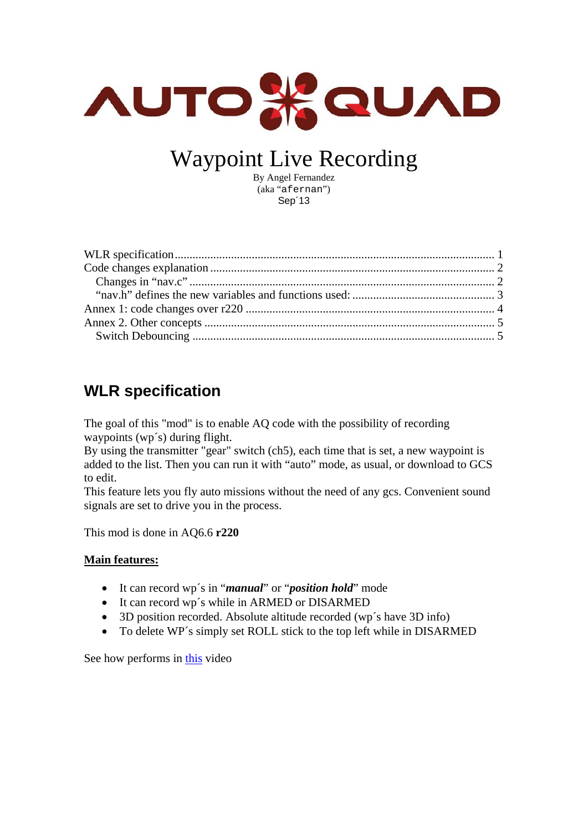

# Waypoint Live Recording

By Angel Fernandez (aka "afernan") Sep´13

## <span id="page-0-0"></span>**WLR specification**

The goal of this "mod" is to enable AQ code with the possibility of recording waypoints (wp´s) during flight.

By using the transmitter "gear" switch (ch5), each time that is set, a new waypoint is added to the list. Then you can run it with "auto" mode, as usual, or download to GCS to edit.

This feature lets you fly auto missions without the need of any gcs. Convenient sound signals are set to drive you in the process.

This mod is done in AQ6.6 **r220**

#### **Main features:**

- It can record wp´s in "*manual*" or "*position hold*" mode
- It can record wp's while in ARMED or DISARMED
- 3D position recorded. Absolute altitude recorded (wp's have 3D info)
- To delete WP's simply set ROLL stick to the top left while in DISARMED

See how performs in [this](https://vimeo.com/74000021) video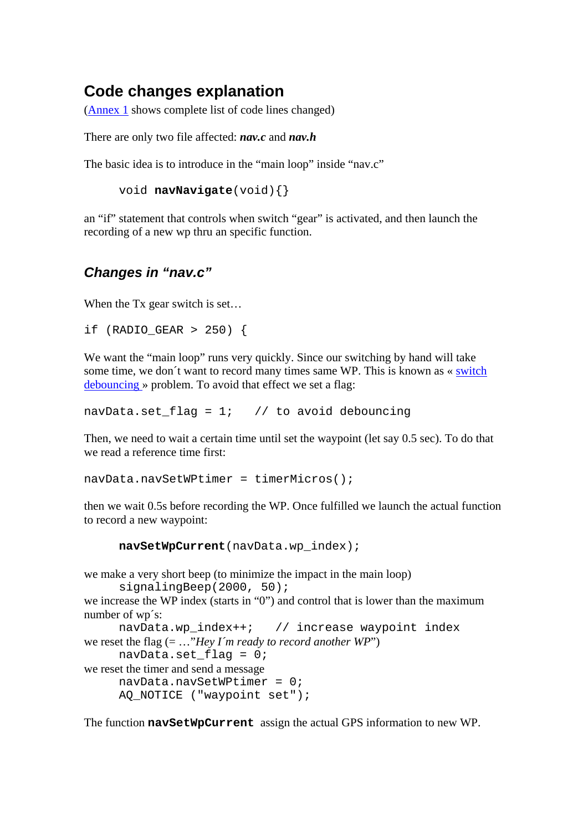### <span id="page-1-0"></span>**Code changes explanation**

[\(Annex 1](#page-2-1) shows complete list of code lines changed)

There are only two file affected: *nav.c* and *nav.h* 

The basic idea is to introduce in the "main loop" inside "nav.c"

```
 void navNavigate(void){}
```
an "if" statement that controls when switch "gear" is activated, and then launch the recording of a new wp thru an specific function.

#### <span id="page-1-1"></span>*Changes in "nav.c"*

When the Tx gear switch is set...

```
if (RADIO GEAR > 250) {
```
We want the "main loop" runs very quickly. Since our switching by hand will take some time, we don't want to record many times same WP. This is known as « switch [debouncing](#page-4-1) » problem. To avoid that effect we set a flag:

navData.set\_flag =  $1;$  // to avoid debouncing

Then, we need to wait a certain time until set the waypoint (let say 0.5 sec). To do that we read a reference time first:

```
navData.navSetWPtimer = timerMicros();
```
then we wait 0.5s before recording the WP. Once fulfilled we launch the actual function to record a new waypoint:

**navSetWpCurrent**(navData.wp\_index);

we make a very short beep (to minimize the impact in the main loop) signalingBeep(2000, 50);

```
we increase the WP index (starts in "0") and control that is lower than the maximum
number of wp´s:
```

```
navData.wp_index++; // increase waypoint index 
we reset the flag (= …"Hey I´m ready to record another WP")
```

```
navData.set flag = 0;
```

```
we reset the timer and send a message
```

```
 navData.navSetWPtimer = 0; 
AQ NOTICE ("waypoint set");
```
The function **navSetWpCurrent** assign the actual GPS information to new WP.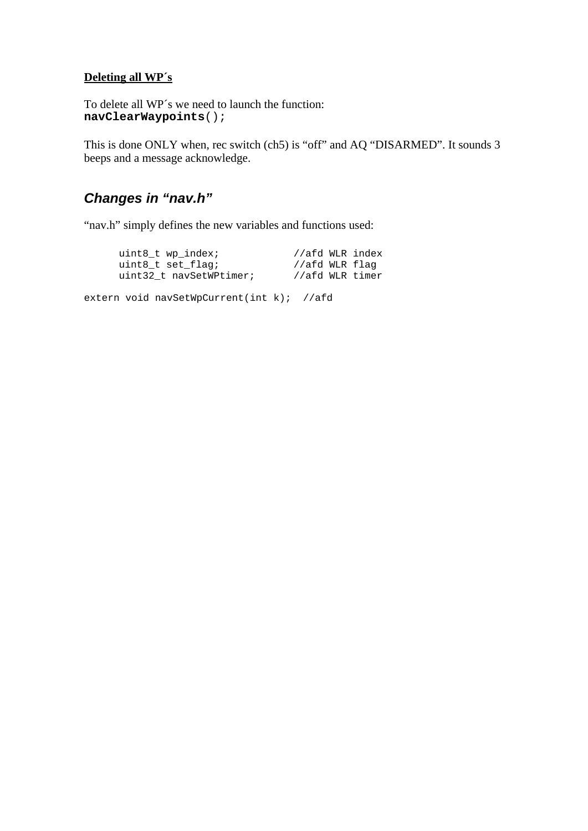#### **Deleting all WP´s**

To delete all WP´s we need to launch the function: **navClearWaypoints**();

This is done ONLY when, rec switch (ch5) is "off" and AQ "DISARMED". It sounds 3 beeps and a message acknowledge.

#### *Changes in "nav.h"*

<span id="page-2-0"></span>"nav.h" simply defines the new variables and functions used:

| uint8 t wp index;       | //afd WLR index |  |
|-------------------------|-----------------|--|
| uint8 t set flag;       | //afd WLR flaq  |  |
| uint32 t navSetWPtimer; | //afd WLR timer |  |

<span id="page-2-1"></span>extern void navSetWpCurrent(int k); //afd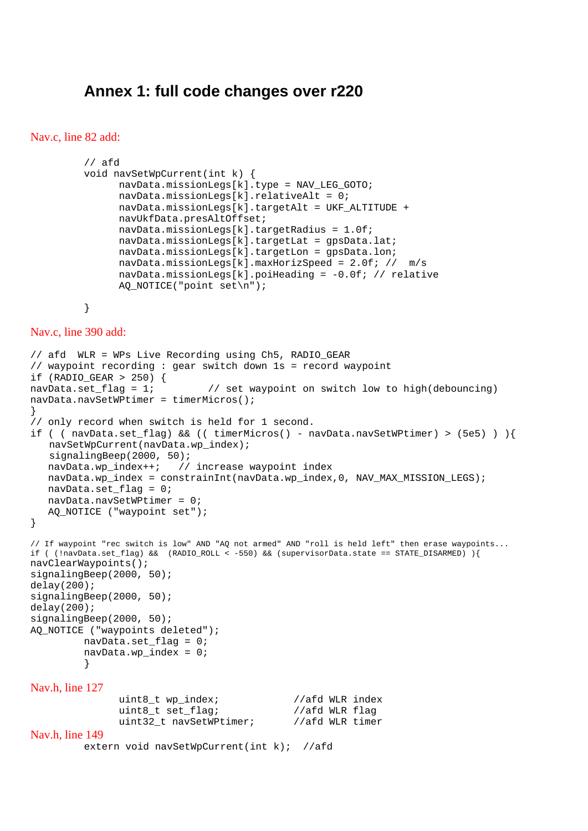#### **Annex 1: full code changes over r220**

#### <span id="page-3-0"></span>Nav.c, line 82 add:

```
// afd 
void navSetWpCurrent(int k) { 
       navData.missionLegs[k].type = NAV_LEG_GOTO; 
       navData.missionLegs[k].relativeAlt = 0; 
      navData.missionLegs[k].targetAlt = UKF_ALTITUDE + 
      navUkfData.presAltOffset; 
       navData.missionLegs[k].targetRadius = 1.0f; 
       navData.missionLegs[k].targetLat = gpsData.lat; 
       navData.missionLegs[k].targetLon = gpsData.lon; 
       navData.missionLegs[k].maxHorizSpeed = 2.0f; // m/s 
       navData.missionLegs[k].poiHeading = -0.0f; // relative 
       AQ_NOTICE("point set\n");
```

```
}
```
Nav.c, line 390 add:

```
// afd WLR = WPs Live Recording using Ch5, RADIO_GEAR 
// waypoint recording : gear switch down 1s = record waypoint 
if (RADIO GEAR > 250) {
navData.set_flag = 1; // set waypoint on switch low to high(debouncing) 
navData.navSetWPtimer = timerMicros(); 
} 
// only record when switch is held for 1 second. 
if ( ( navData.set_flag) && (( timerMicros() - navData.navSetWPtimer) > (5e5) ) ){ 
    navSetWpCurrent(navData.wp_index); 
    signalingBeep(2000, 50); 
   navData.wp index++; // increase waypoint index
   navData.wp_index = constrainInt(navData.wp_index,0, NAV_MAX_MISSION_LEGS);
    navData.set_flag = 0; 
    navData.navSetWPtimer = 0; 
    AQ_NOTICE ("waypoint set"); 
} 
// If waypoint "rec switch is low" AND "AQ not armed" AND "roll is held left" then erase waypoints... 
if ( (!navData.set_flag) && (RADIO_ROLL < -550) && (supervisorData.state == STATE_DISARMED) ){ 
navClearWaypoints(); 
signalingBeep(2000, 50); 
delay(200);signalingBeep(2000, 50);
delay(200); 
signalingBeep(2000, 50);
AQ_NOTICE ("waypoints deleted"); 
         navData.set_flag = 0; 
         navData.wp_index = 0; 
         } 
Nav.h, line 127 
               uint8_t wp_index; //afd WLR index
               uint8_t set_flag; //afd WLR flag
               uint32_t navSetWPtimer; //afd WLR timer
Nav.h, line 149 
         extern void navSetWpCurrent(int k); //afd
```